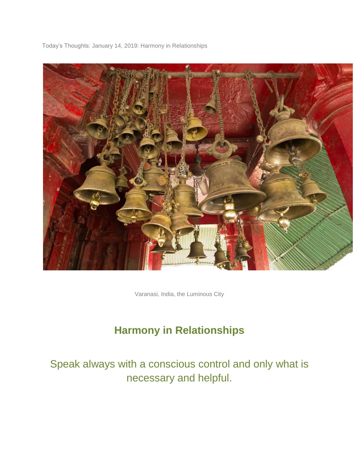Today's Thoughts: January 14, 2019: Harmony in Relationships



Varanasi, India, the Luminous City

## **Harmony in Relationships**

# Speak always with a conscious control and only what is necessary and helpful.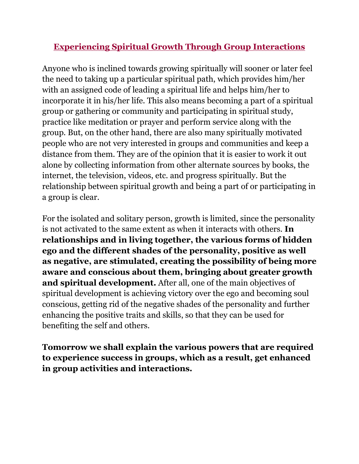## **Experiencing Spiritual Growth Through Group Interactions**

Anyone who is inclined towards growing spiritually will sooner or later feel the need to taking up a particular spiritual path, which provides him/her with an assigned code of leading a spiritual life and helps him/her to incorporate it in his/her life. This also means becoming a part of a spiritual group or gathering or community and participating in spiritual study, practice like meditation or prayer and perform service along with the group. But, on the other hand, there are also many spiritually motivated people who are not very interested in groups and communities and keep a distance from them. They are of the opinion that it is easier to work it out alone by collecting information from other alternate sources by books, the internet, the television, videos, etc. and progress spiritually. But the relationship between spiritual growth and being a part of or participating in a group is clear.

For the isolated and solitary person, growth is limited, since the personality is not activated to the same extent as when it interacts with others. **In relationships and in living together, the various forms of hidden ego and the different shades of the personality, positive as well as negative, are stimulated, creating the possibility of being more aware and conscious about them, bringing about greater growth and spiritual development.** After all, one of the main objectives of spiritual development is achieving victory over the ego and becoming soul conscious, getting rid of the negative shades of the personality and further enhancing the positive traits and skills, so that they can be used for benefiting the self and others.

**Tomorrow we shall explain the various powers that are required to experience success in groups, which as a result, get enhanced in group activities and interactions.**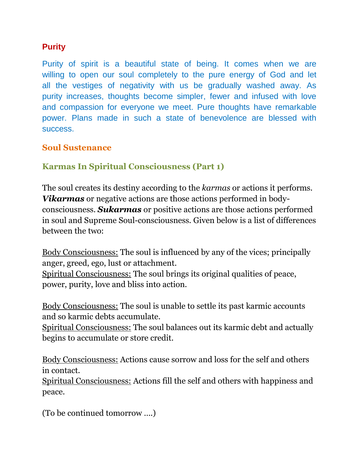#### **Purity**

Purity of spirit is a beautiful state of being. It comes when we are willing to open our soul completely to the pure energy of God and let all the vestiges of negativity with us be gradually washed away. As purity increases, thoughts become simpler, fewer and infused with love and compassion for everyone we meet. Pure thoughts have remarkable power. Plans made in such a state of benevolence are blessed with success.

#### **Soul Sustenance**

### **Karmas In Spiritual Consciousness (Part 1)**

The soul creates its destiny according to the *karmas* or actions it performs. *Vikarmas* or negative actions are those actions performed in bodyconsciousness. *Sukarmas* or positive actions are those actions performed in soul and Supreme Soul-consciousness. Given below is a list of differences between the two:

Body Consciousness: The soul is influenced by any of the vices; principally anger, greed, ego, lust or attachment.

Spiritual Consciousness: The soul brings its original qualities of peace, power, purity, love and bliss into action.

Body Consciousness: The soul is unable to settle its past karmic accounts and so karmic debts accumulate.

Spiritual Consciousness: The soul balances out its karmic debt and actually begins to accumulate or store credit.

Body Consciousness: Actions cause sorrow and loss for the self and others in contact.

Spiritual Consciousness: Actions fill the self and others with happiness and peace.

(To be continued tomorrow ….)